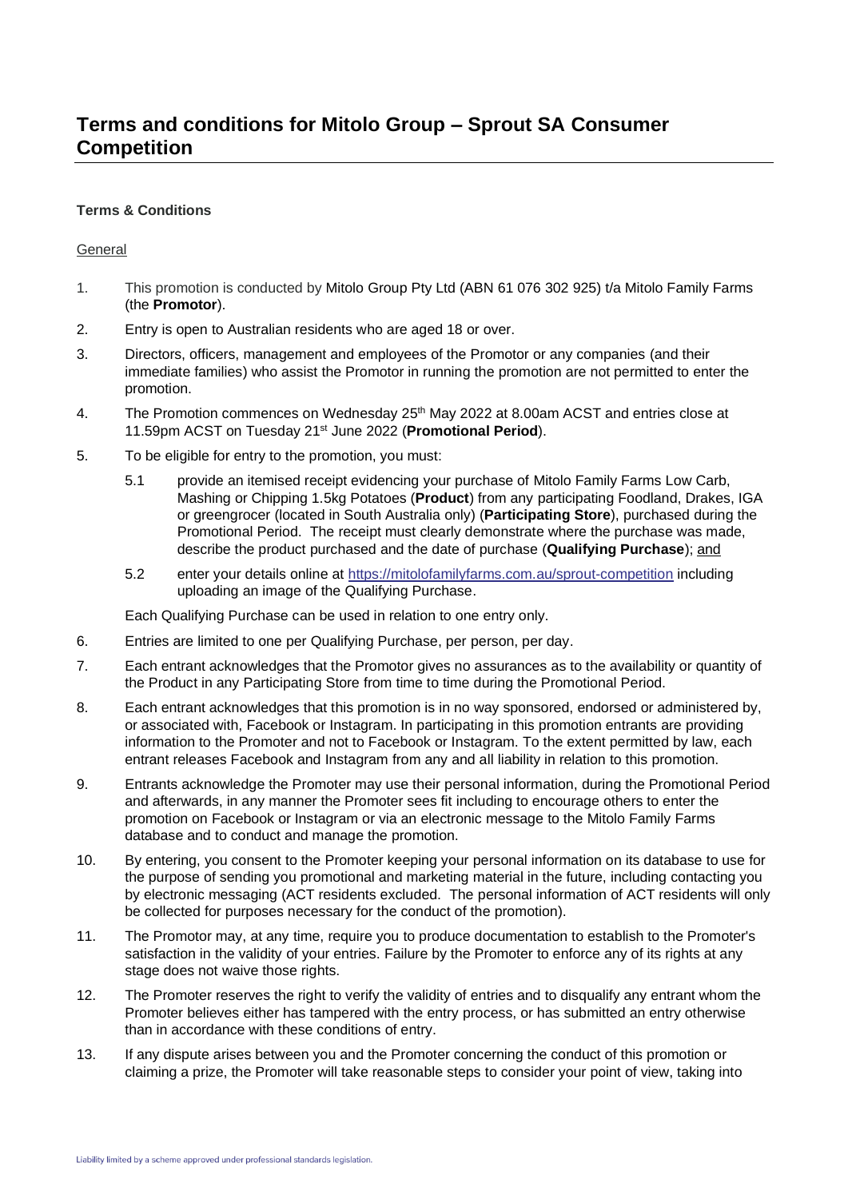## **Terms & Conditions**

## General

- 1. This promotion is conducted by Mitolo Group Pty Ltd (ABN 61 076 302 925) t/a Mitolo Family Farms (the **Promotor**).
- 2. Entry is open to Australian residents who are aged 18 or over.
- 3. Directors, officers, management and employees of the Promotor or any companies (and their immediate families) who assist the Promotor in running the promotion are not permitted to enter the promotion.
- 4. The Promotion commences on Wednesday 25<sup>th</sup> May 2022 at 8.00am ACST and entries close at 11.59pm ACST on Tuesday 21<sup>st</sup> June 2022 (Promotional Period).
- 5. To be eligible for entry to the promotion, you must:
	- 5.1 provide an itemised receipt evidencing your purchase of Mitolo Family Farms Low Carb, Mashing or Chipping 1.5kg Potatoes (**Product**) from any participating Foodland, Drakes, IGA or greengrocer (located in South Australia only) (**Participating Store**), purchased during the Promotional Period. The receipt must clearly demonstrate where the purchase was made, describe the product purchased and the date of purchase (**Qualifying Purchase**); and
	- 5.2 enter your details online at<https://mitolofamilyfarms.com.au/sprout-competition> including uploading an image of the Qualifying Purchase.

Each Qualifying Purchase can be used in relation to one entry only.

- 6. Entries are limited to one per Qualifying Purchase, per person, per day.
- 7. Each entrant acknowledges that the Promotor gives no assurances as to the availability or quantity of the Product in any Participating Store from time to time during the Promotional Period.
- 8. Each entrant acknowledges that this promotion is in no way sponsored, endorsed or administered by, or associated with, Facebook or Instagram. In participating in this promotion entrants are providing information to the Promoter and not to Facebook or Instagram. To the extent permitted by law, each entrant releases Facebook and Instagram from any and all liability in relation to this promotion.
- 9. Entrants acknowledge the Promoter may use their personal information, during the Promotional Period and afterwards, in any manner the Promoter sees fit including to encourage others to enter the promotion on Facebook or Instagram or via an electronic message to the Mitolo Family Farms database and to conduct and manage the promotion.
- 10. By entering, you consent to the Promoter keeping your personal information on its database to use for the purpose of sending you promotional and marketing material in the future, including contacting you by electronic messaging (ACT residents excluded. The personal information of ACT residents will only be collected for purposes necessary for the conduct of the promotion).
- 11. The Promotor may, at any time, require you to produce documentation to establish to the Promoter's satisfaction in the validity of your entries. Failure by the Promoter to enforce any of its rights at any stage does not waive those rights.
- 12. The Promoter reserves the right to verify the validity of entries and to disqualify any entrant whom the Promoter believes either has tampered with the entry process, or has submitted an entry otherwise than in accordance with these conditions of entry.
- 13. If any dispute arises between you and the Promoter concerning the conduct of this promotion or claiming a prize, the Promoter will take reasonable steps to consider your point of view, taking into